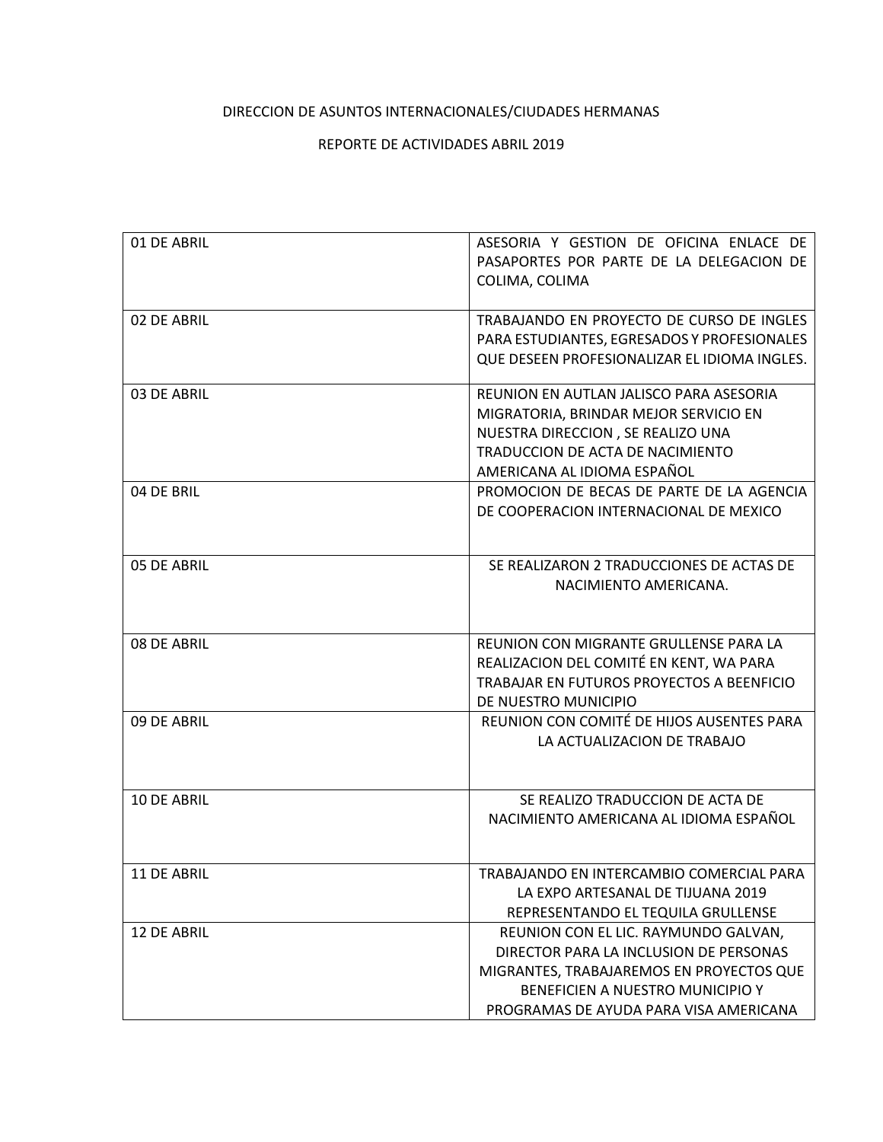## DIRECCION DE ASUNTOS INTERNACIONALES/CIUDADES HERMANAS

## REPORTE DE ACTIVIDADES ABRIL 2019

| 01 DE ABRIL        | ASESORIA Y GESTION DE OFICINA ENLACE DE<br>PASAPORTES POR PARTE DE LA DELEGACION DE<br>COLIMA, COLIMA                                                                                                    |
|--------------------|----------------------------------------------------------------------------------------------------------------------------------------------------------------------------------------------------------|
| 02 DE ABRIL        | TRABAJANDO EN PROYECTO DE CURSO DE INGLES<br>PARA ESTUDIANTES, EGRESADOS Y PROFESIONALES<br>QUE DESEEN PROFESIONALIZAR EL IDIOMA INGLES.                                                                 |
| 03 DE ABRIL        | REUNION EN AUTLAN JALISCO PARA ASESORIA<br>MIGRATORIA, BRINDAR MEJOR SERVICIO EN<br>NUESTRA DIRECCION, SE REALIZO UNA<br>TRADUCCION DE ACTA DE NACIMIENTO<br>AMERICANA AL IDIOMA ESPAÑOL                 |
| 04 DE BRIL         | PROMOCION DE BECAS DE PARTE DE LA AGENCIA<br>DE COOPERACION INTERNACIONAL DE MEXICO                                                                                                                      |
| 05 DE ABRIL        | SE REALIZARON 2 TRADUCCIONES DE ACTAS DE<br>NACIMIENTO AMERICANA.                                                                                                                                        |
| 08 DE ABRIL        | REUNION CON MIGRANTE GRULLENSE PARA LA<br>REALIZACION DEL COMITÉ EN KENT, WA PARA<br>TRABAJAR EN FUTUROS PROYECTOS A BEENFICIO<br>DE NUESTRO MUNICIPIO                                                   |
| 09 DE ABRIL        | REUNION CON COMITÉ DE HIJOS AUSENTES PARA<br>LA ACTUALIZACION DE TRABAJO                                                                                                                                 |
| <b>10 DE ABRIL</b> | SE REALIZO TRADUCCION DE ACTA DE<br>NACIMIENTO AMERICANA AL IDIOMA ESPAÑOL                                                                                                                               |
| 11 DE ABRIL        | TRABAJANDO EN INTERCAMBIO COMERCIAL PARA<br>LA EXPO ARTESANAL DE TIJUANA 2019<br>REPRESENTANDO EL TEQUILA GRULLENSE                                                                                      |
| 12 DE ABRIL        | REUNION CON EL LIC. RAYMUNDO GALVAN,<br>DIRECTOR PARA LA INCLUSION DE PERSONAS<br>MIGRANTES, TRABAJAREMOS EN PROYECTOS QUE<br>BENEFICIEN A NUESTRO MUNICIPIO Y<br>PROGRAMAS DE AYUDA PARA VISA AMERICANA |